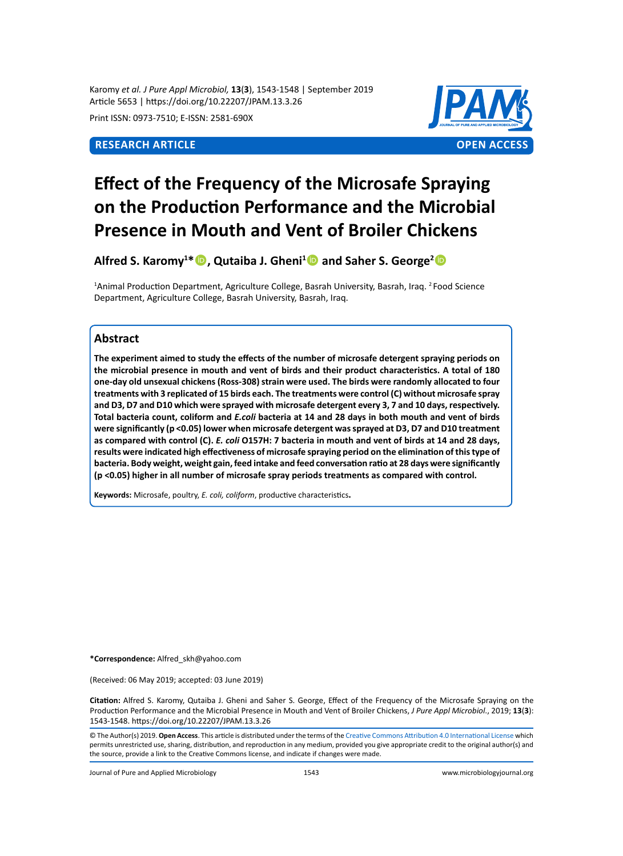Karomy *et al. J Pure Appl Microbiol,* **13**(**3**), 1543-1548 | September 2019 Article 5653 | https://doi.org/10.22207/JPAM.13.3.26

Print ISSN: 0973-7510; E-ISSN: 2581-690X

# **Research Article OPEN ACCESS**



# **Effect of the Frequency of the Microsafe Spraying on the Production Performance and the Microbial Presence in Mouth and Vent of Broiler Chickens**

**Alfred S. Karomy<sup>1</sup> \*, Qutaiba J. Gheni<sup>1</sup> and Saher S. George<sup>2</sup>**

<sup>1</sup>Animal Production Department, Agriculture College, Basrah University, Basrah, Iraq. <sup>2</sup> Food Science Department, Agriculture College, Basrah University, Basrah, Iraq.

# **Abstract**

**The experiment aimed to study the effects of the number of microsafe detergent spraying periods on the microbial presence in mouth and vent of birds and their product characteristics. A total of 180 one-day old unsexual chickens (Ross-308) strain were used. The birds were randomly allocated to four treatments with 3 replicated of 15 birds each. The treatments were control (C) without microsafe spray and D3, D7 and D10 which were sprayed with microsafe detergent every 3, 7 and 10 days, respectively. Total bacteria count, coliform and** *E.coli* **bacteria at 14 and 28 days in both mouth and vent of birds were significantly (p <0.05) lower when microsafe detergent was sprayed at D3, D7 and D10 treatment as compared with control (C).** *E. coli* **O157H: 7 bacteria in mouth and vent of birds at 14 and 28 days, results were indicated high effectiveness of microsafe spraying period on the elimination of this type of bacteria. Body weight, weight gain, feed intake and feed conversation ratio at 28 days were significantly (p <0.05) higher in all number of microsafe spray periods treatments as compared with control.**

**Keywords:** Microsafe, poultry, *E. coli, coliform*, productive characteristics**.**

**\*Correspondence:** Alfred\_skh@yahoo.com

(Received: 06 May 2019; accepted: 03 June 2019)

**Citation:** Alfred S. Karomy, Qutaiba J. Gheni and Saher S. George, Effect of the Frequency of the Microsafe Spraying on the Production Performance and the Microbial Presence in Mouth and Vent of Broiler Chickens, *J Pure Appl Microbiol*., 2019; **13**(**3**): 1543-1548. https://doi.org/10.22207/JPAM.13.3.26

© The Author(s) 2019. **Open Access**. This article is distributed under the terms of the [Creative Commons Attribution 4.0 International License](https://creativecommons.org/licenses/by/4.0/) which permits unrestricted use, sharing, distribution, and reproduction in any medium, provided you give appropriate credit to the original author(s) and the source, provide a link to the Creative Commons license, and indicate if changes were made.

Journal of Pure and Applied Microbiology 1543 www.microbiologyjournal.org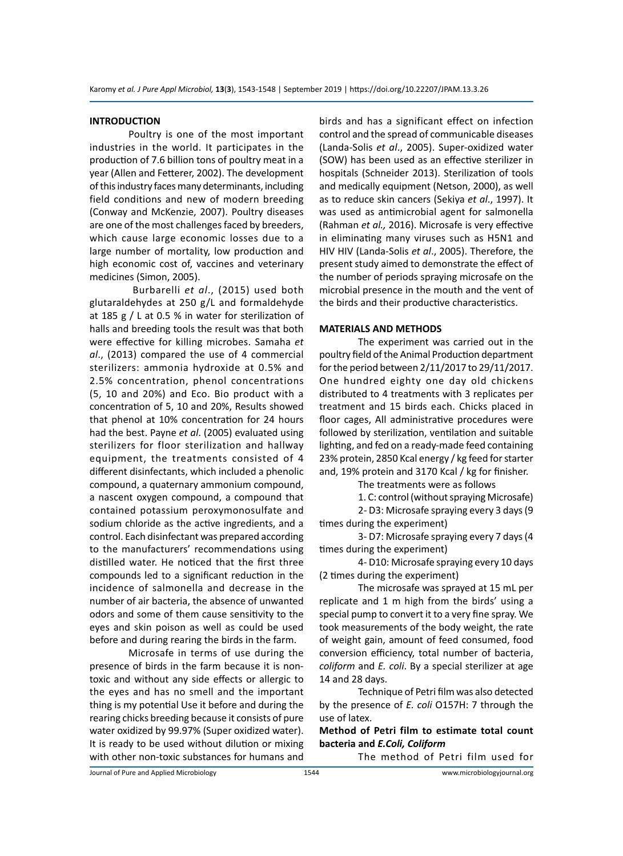#### **INTRODUCTION**

Poultry is one of the most important industries in the world. It participates in the production of 7.6 billion tons of poultry meat in a year (Allen and Fetterer, 2002). The development of this industry faces many determinants, including field conditions and new of modern breeding (Conway and McKenzie, 2007). Poultry diseases are one of the most challenges faced by breeders, which cause large economic losses due to a large number of mortality, low production and high economic cost of, vaccines and veterinary medicines (Simon, 2005).

 Burbarelli *et al*., (2015) used both glutaraldehydes at 250 g/L and formaldehyde at 185 g / L at 0.5 % in water for sterilization of halls and breeding tools the result was that both were effective for killing microbes. Samaha *et al*., (2013) compared the use of 4 commercial sterilizers: ammonia hydroxide at 0.5% and 2.5% concentration, phenol concentrations (5, 10 and 20%) and Eco. Bio product with a concentration of 5, 10 and 20%, Results showed that phenol at 10% concentration for 24 hours had the best. Payne *et al*. (2005) evaluated using sterilizers for floor sterilization and hallway equipment, the treatments consisted of 4 different disinfectants, which included a phenolic compound, a quaternary ammonium compound, a nascent oxygen compound, a compound that contained potassium peroxymonosulfate and sodium chloride as the active ingredients, and a control. Each disinfectant was prepared according to the manufacturers' recommendations using distilled water. He noticed that the first three compounds led to a significant reduction in the incidence of salmonella and decrease in the number of air bacteria, the absence of unwanted odors and some of them cause sensitivity to the eyes and skin poison as well as could be used before and during rearing the birds in the farm.

Microsafe in terms of use during the presence of birds in the farm because it is nontoxic and without any side effects or allergic to the eyes and has no smell and the important thing is my potential Use it before and during the rearing chicks breeding because it consists of pure water oxidized by 99.97% (Super oxidized water). It is ready to be used without dilution or mixing with other non-toxic substances for humans and birds and has a significant effect on infection control and the spread of communicable diseases (Landa-Solis *et al*., 2005). Super-oxidized water (SOW) has been used as an effective sterilizer in hospitals (Schneider 2013). Sterilization of tools and medically equipment (Netson, 2000), as well as to reduce skin cancers (Sekiya *et al*., 1997). It was used as antimicrobial agent for salmonella (Rahman *et al.,* 2016). Microsafe is very effective in eliminating many viruses such as H5N1 and HIV HIV (Landa-Solis *et al*., 2005). Therefore, the present study aimed to demonstrate the effect of the number of periods spraying microsafe on the microbial presence in the mouth and the vent of the birds and their productive characteristics.

#### **MATERIALS AND METHODS**

The experiment was carried out in the poultry field of the Animal Production department for the period between 2/11/2017 to 29/11/2017. One hundred eighty one day old chickens distributed to 4 treatments with 3 replicates per treatment and 15 birds each. Chicks placed in floor cages, All administrative procedures were followed by sterilization, ventilation and suitable lighting, and fed on a ready-made feed containing 23% protein, 2850 Kcal energy / kg feed for starter and, 19% protein and 3170 Kcal / kg for finisher.

The treatments were as follows

1. C: control (without spraying Microsafe)

2- D3: Microsafe spraying every 3 days (9 times during the experiment)

3- D7: Microsafe spraying every 7 days (4 times during the experiment)

4- D10: Microsafe spraying every 10 days (2 times during the experiment)

The microsafe was sprayed at 15 mL per replicate and 1 m high from the birds' using a special pump to convert it to a very fine spray. We took measurements of the body weight, the rate of weight gain, amount of feed consumed, food conversion efficiency, total number of bacteria, *coliform* and *E. coli*. By a special sterilizer at age 14 and 28 days.

Technique of Petri film was also detected by the presence of *E. coli* O157H: 7 through the use of latex.

# **Method of Petri film to estimate total count bacteria and** *E.Coli, Coliform*

The method of Petri film used for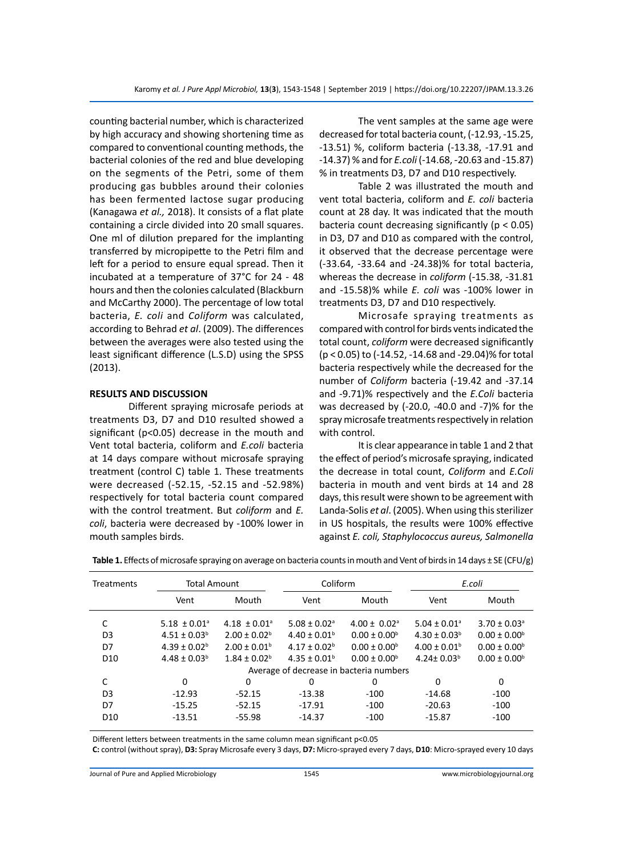counting bacterial number, which is characterized by high accuracy and showing shortening time as compared to conventional counting methods, the bacterial colonies of the red and blue developing on the segments of the Petri, some of them producing gas bubbles around their colonies has been fermented lactose sugar producing (Kanagawa *et al.,* 2018). It consists of a flat plate containing a circle divided into 20 small squares. One ml of dilution prepared for the implanting transferred by micropipette to the Petri film and left for a period to ensure equal spread. Then it incubated at a temperature of 37°C for 24 - 48 hours and then the colonies calculated (Blackburn and McCarthy 2000). The percentage of low total bacteria, *E. coli* and *Coliform* was calculated, according to Behrad *et al*. (2009). The differences between the averages were also tested using the least significant difference (L.S.D) using the SPSS (2013).

### **RESULTS AND DISCUSSION**

Different spraying microsafe periods at treatments D3, D7 and D10 resulted showed a significant (p<0.05) decrease in the mouth and Vent total bacteria, coliform and *E.coli* bacteria at 14 days compare without microsafe spraying treatment (control C) table 1. These treatments were decreased (-52.15, -52.15 and -52.98%) respectively for total bacteria count compared with the control treatment. But *coliform* and *E. coli*, bacteria were decreased by -100% lower in mouth samples birds.

The vent samples at the same age were decreased for total bacteria count, (-12.93, -15.25, -13.51) %, coliform bacteria (-13.38, -17.91 and -14.37) % and for *E.coli* (-14.68, -20.63 and -15.87) % in treatments D3, D7 and D10 respectively.

Table 2 was illustrated the mouth and vent total bacteria, coliform and *E. coli* bacteria count at 28 day. It was indicated that the mouth bacteria count decreasing significantly (p < 0.05) in D3, D7 and D10 as compared with the control, it observed that the decrease percentage were (-33.64, -33.64 and -24.38)% for total bacteria, whereas the decrease in *coliform* (-15.38, -31.81 and -15.58)% while *E. coli* was -100% lower in treatments D3, D7 and D10 respectively.

Microsafe spraying treatments as compared with control for birds vents indicated the total count, *coliform* were decreased significantly (p < 0.05) to (-14.52, -14.68 and -29.04)% for total bacteria respectively while the decreased for the number of *Coliform* bacteria (-19.42 and -37.14 and -9.71)% respectively and the *E.Coli* bacteria was decreased by (-20.0, -40.0 and -7)% for the spray microsafe treatments respectively in relation with control.

It is clear appearance in table 1 and 2 that the effect of period's microsafe spraying, indicated the decrease in total count, *Coliform* and *E.Coli* bacteria in mouth and vent birds at 14 and 28 days, this result were shown to be agreement with Landa-Solis *et al*. (2005). When using this sterilizer in US hospitals, the results were 100% effective against *E. coli, Staphylococcus aureus, Salmonella*

| <b>Treatments</b> | <b>Total Amount</b>          |                              | Coliform                     |                                         | E.coli                       |                              |  |
|-------------------|------------------------------|------------------------------|------------------------------|-----------------------------------------|------------------------------|------------------------------|--|
|                   | Vent                         | Mouth                        | Vent                         | Mouth                                   | Vent                         | Mouth                        |  |
| C                 | $5.18 \pm 0.01$ <sup>a</sup> | $4.18 \pm 0.01$ <sup>a</sup> | $5.08 \pm 0.02$ <sup>a</sup> | $4.00 \pm 0.02$ <sup>a</sup>            | $5.04 \pm 0.01$ <sup>a</sup> | $3.70 \pm 0.03$ <sup>a</sup> |  |
| D <sub>3</sub>    | $4.51 \pm 0.03^b$            | $2.00 \pm 0.02^b$            | $4.40 \pm 0.01^b$            | $0.00 \pm 0.00^{\circ}$                 | $4.30 \pm 0.03^b$            | $0.00 \pm 0.00^{\circ}$      |  |
| D7                | $4.39 \pm 0.02^b$            | $2.00 \pm 0.01^b$            | $4.17 \pm 0.02^b$            | $0.00 \pm 0.00^{\circ}$                 | $4.00 \pm 0.01^b$            | $0.00 \pm 0.00^{\circ}$      |  |
| D <sub>10</sub>   | $4.48 \pm 0.03^b$            | $1.84 \pm 0.02^b$            | $4.35 \pm 0.01^b$            | $0.00 \pm 0.00^{\circ}$                 | $4.24 \pm 0.03^b$            | $0.00 \pm 0.00^{\circ}$      |  |
|                   |                              |                              |                              | Average of decrease in bacteria numbers |                              |                              |  |
| C                 | 0                            | $\Omega$                     | 0                            | 0                                       | 0                            | 0                            |  |
| D <sub>3</sub>    | $-12.93$                     | $-52.15$                     | $-13.38$                     | $-100$                                  | $-14.68$                     | $-100$                       |  |
| D7                | $-15.25$                     | $-52.15$                     | $-17.91$                     | $-100$                                  | $-20.63$                     | $-100$                       |  |
| D <sub>10</sub>   | $-13.51$                     | $-55.98$                     | $-14.37$                     | $-100$                                  | $-15.87$                     | $-100$                       |  |

**Table 1.** Effects of microsafe spraying on average on bacteria counts in mouth and Vent of birds in 14 days ± SE (CFU/g)

Different letters between treatments in the same column mean significant p<0.05

**C:** control (without spray), **D3:** Spray Microsafe every 3 days, **D7:** Micro-sprayed every 7 days, **D10**: Micro-sprayed every 10 days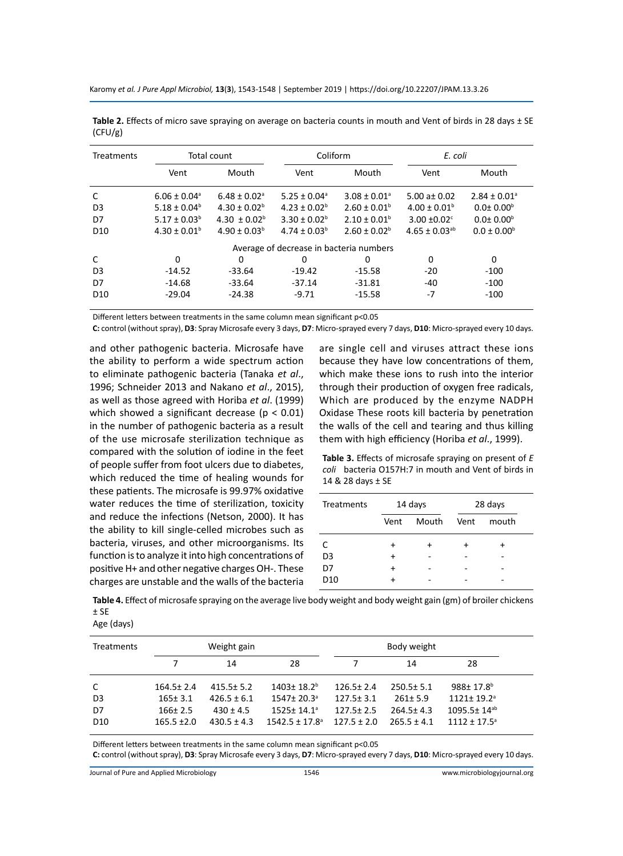Karomy *et al. J Pure Appl Microbiol,* **13**(**3**), 1543-1548 | September 2019 | https://doi.org/10.22207/JPAM.13.3.26

| <b>Treatments</b> | Total count                  |                              | Coliform                                |                              | E. coli                  |                              |
|-------------------|------------------------------|------------------------------|-----------------------------------------|------------------------------|--------------------------|------------------------------|
|                   | Vent                         | Mouth                        | Vent                                    | Mouth                        | Vent                     | Mouth                        |
| C                 | $6.06 \pm 0.04$ <sup>a</sup> | $6.48 \pm 0.02$ <sup>a</sup> | $5.25 \pm 0.04$ <sup>a</sup>            | $3.08 \pm 0.01$ <sup>a</sup> | 5.00 a $\pm$ 0.02        | $2.84 \pm 0.01$ <sup>a</sup> |
| D <sub>3</sub>    | $5.18 \pm 0.04^b$            | $4.30 \pm 0.02^b$            | $4.23 \pm 0.02^b$                       | $2.60 \pm 0.01^b$            | $4.00 \pm 0.01^b$        | $0.010^{6}$                  |
| D7                | $5.17 \pm 0.03^b$            | 4.30 $\pm$ 0.02 <sup>b</sup> | $3.30 \pm 0.02^b$                       | $2.10 \pm 0.01^b$            | 3.00 $\pm$ 0.02 $\rm{c}$ | $0.010^{6}$                  |
| D <sub>10</sub>   | $4.30 \pm 0.01^b$            | $4.90 \pm 0.03^b$            | $4.74 \pm 0.03^b$                       | $2.60 \pm 0.02^b$            | $4.65 \pm 0.03^{ab}$     | $0.0 \pm 0.00^{\rm b}$       |
|                   |                              |                              | Average of decrease in bacteria numbers |                              |                          |                              |
| C                 | 0                            | 0                            | 0                                       | 0                            | 0                        | 0                            |
| D <sub>3</sub>    | $-14.52$                     | $-33.64$                     | $-19.42$                                | -15.58                       | $-20$                    | $-100$                       |
| D7                | $-14.68$                     | $-33.64$                     | $-37.14$                                | $-31.81$                     | -40                      | $-100$                       |
| D <sub>10</sub>   | $-29.04$                     | $-24.38$                     | $-9.71$                                 | $-15.58$                     | $-7$                     | $-100$                       |

Table 2. Effects of micro save spraying on average on bacteria counts in mouth and Vent of birds in 28 days ± SE (CFU/g)

Different letters between treatments in the same column mean significant p<0.05

**C:** control (without spray), **D3**: Spray Microsafe every 3 days, **D7**: Micro-sprayed every 7 days, **D10**: Micro-sprayed every 10 days.

and other pathogenic bacteria. Microsafe have the ability to perform a wide spectrum action to eliminate pathogenic bacteria (Tanaka *et al*., 1996; Schneider 2013 and Nakano *et al*., 2015), as well as those agreed with Horiba *et al*. (1999) which showed a significant decrease ( $p < 0.01$ ) in the number of pathogenic bacteria as a result of the use microsafe sterilization technique as compared with the solution of iodine in the feet of people suffer from foot ulcers due to diabetes, which reduced the time of healing wounds for these patients. The microsafe is 99.97% oxidative water reduces the time of sterilization, toxicity and reduce the infections (Netson, 2000). It has the ability to kill single-celled microbes such as bacteria, viruses, and other microorganisms. Its function is to analyze it into high concentrations of positive H+ and other negative charges OH-. These charges are unstable and the walls of the bacteria

are single cell and viruses attract these ions because they have low concentrations of them, which make these ions to rush into the interior through their production of oxygen free radicals, Which are produced by the enzyme NADPH Oxidase These roots kill bacteria by penetration the walls of the cell and tearing and thus killing them with high efficiency (Horiba *et al*., 1999).

**Table 3.** Effects of microsafe spraying on present of *E coli* bacteria O157H:7 in mouth and Vent of birds in 14 & 28 days ± SE

| Treatments      | 14 days   |       | 28 days |       |  |
|-----------------|-----------|-------|---------|-------|--|
|                 | Vent      | Mouth | Vent    | mouth |  |
| C               | $\ddot{}$ | ٠     |         |       |  |
| D <sub>3</sub>  | +         |       |         |       |  |
| D7              | +         |       |         |       |  |
| D <sub>10</sub> |           |       |         |       |  |

**Table 4.** Effect of microsafe spraying on the average live body weight and body weight gain (gm) of broiler chickens ± SE

| <b>Treatments</b> | Weight gain     |                 |                                | Body weight     |                 |                              |  |
|-------------------|-----------------|-----------------|--------------------------------|-----------------|-----------------|------------------------------|--|
|                   |                 | 14              | 28                             |                 | 14              | 28                           |  |
| C                 | $164.5 \pm 2.4$ | $415.5 \pm 5.2$ | $1403 \pm 18.2$ <sup>b</sup>   | $126.5 \pm 2.4$ | $250.5 \pm 5.1$ | 988±17.8 <sup>b</sup>        |  |
| D3                | $165 \pm 3.1$   | $426.5 \pm 6.1$ | $1547 \pm 20.3$ <sup>a</sup>   | $127.5 \pm 3.1$ | $261 \pm 5.9$   | $1121 \pm 19.2$ <sup>a</sup> |  |
| D7                | $166 \pm 2.5$   | $430 \pm 4.5$   | $1525 + 14.1a$                 | $127.5 \pm 2.5$ | $264.5 \pm 4.3$ | 1095.5± 14 <sup>ab</sup>     |  |
| D <sub>10</sub>   | $165.5 \pm 2.0$ | $430.5 \pm 4.3$ | $1542.5 \pm 17.8$ <sup>a</sup> | $127.5 \pm 2.0$ | $265.5 \pm 4.1$ | $1112 \pm 17.5$ <sup>a</sup> |  |

Different letters between treatments in the same column mean significant p<0.05

**C:** control (without spray), **D3**: Spray Microsafe every 3 days, **D7**: Micro-sprayed every 7 days, **D10**: Micro-sprayed every 10 days.

Journal of Pure and Applied Microbiology

Age (days)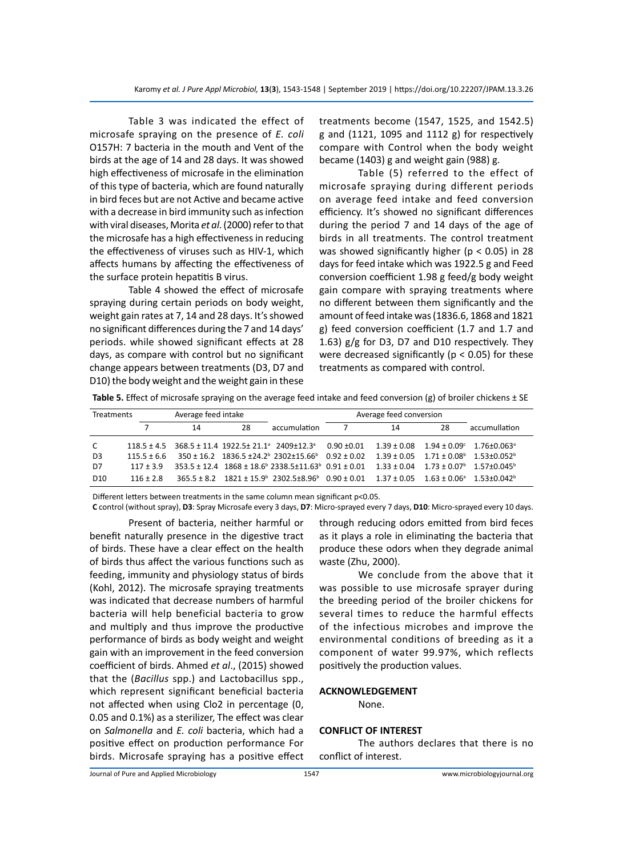Table 3 was indicated the effect of microsafe spraying on the presence of *E. coli* O157H: 7 bacteria in the mouth and Vent of the birds at the age of 14 and 28 days. It was showed high effectiveness of microsafe in the elimination of this type of bacteria, which are found naturally in bird feces but are not Active and became active with a decrease in bird immunity such as infection with viral diseases, Morita *et al*. (2000) refer to that the microsafe has a high effectiveness in reducing the effectiveness of viruses such as HIV-1, which affects humans by affecting the effectiveness of the surface protein hepatitis B virus.

Table 4 showed the effect of microsafe spraying during certain periods on body weight, weight gain rates at 7, 14 and 28 days. It's showed no significant differences during the 7 and 14 days' periods. while showed significant effects at 28 days, as compare with control but no significant change appears between treatments (D3, D7 and D10) the body weight and the weight gain in these treatments become (1547, 1525, and 1542.5) g and (1121, 1095 and 1112 g) for respectively compare with Control when the body weight became (1403) g and weight gain (988) g.

Table (5) referred to the effect of microsafe spraying during different periods on average feed intake and feed conversion efficiency. It's showed no significant differences during the period 7 and 14 days of the age of birds in all treatments. The control treatment was showed significantly higher ( $p < 0.05$ ) in 28 days for feed intake which was 1922.5 g and Feed conversion coefficient 1.98 g feed/g body weight gain compare with spraying treatments where no different between them significantly and the amount of feed intake was (1836.6, 1868 and 1821 g) feed conversion coefficient (1.7 and 1.7 and 1.63) g/g for D3, D7 and D10 respectively. They were decreased significantly ( $p < 0.05$ ) for these treatments as compared with control.

**Table 5.** Effect of microsafe spraying on the average feed intake and feed conversion (g) of broiler chickens ± SE

| Average feed intake<br><b>Treatments</b> |               |    |    | Average feed conversion                                                                      |                     |                 |    |                                                                  |
|------------------------------------------|---------------|----|----|----------------------------------------------------------------------------------------------|---------------------|-----------------|----|------------------------------------------------------------------|
|                                          |               | 14 | 28 | accumulation                                                                                 |                     | 14              | 28 | accumullation                                                    |
| $\mathsf{C}$                             |               |    |    | $118.5 \pm 4.5$ $368.5 \pm 11.4$ $1922.5 \pm 21.1$ <sup>a</sup> $2409 \pm 12.3$ <sup>a</sup> | $0.90 \,  \pm 0.01$ | $1.39 \pm 0.08$ |    | $1.94 \pm 0.09^{\circ}$ $1.76 \pm 0.063^{\circ}$                 |
| D3                                       | $115.5 + 6.6$ |    |    | $350 \pm 16.2$ $1836.5 \pm 24.2$ <sup>b</sup> $2302 \pm 15.66$ <sup>b</sup> $0.92 \pm 0.02$  |                     |                 |    | $1.39 \pm 0.05$ $1.71 \pm 0.08^{\circ}$ $1.53 \pm 0.052^{\circ}$ |
| D7                                       | $117 + 3.9$   |    |    | $353.5 \pm 12.4$ $1868 \pm 18.6$ $2338.5 \pm 11.63$ $0.91 \pm 0.01$ $1.33 \pm 0.04$          |                     |                 |    | $1.73 + 0.07^b$ $1.57 + 0.045^b$                                 |
| D <sub>10</sub>                          | $116 + 2.8$   |    |    | $365.5 \pm 8.2$ $1821 \pm 15.9$ $2302.5 \pm 8.96$ $0.90 \pm 0.01$ $1.37 \pm 0.05$            |                     |                 |    | $1.63 + 0.06^{\circ}$ 1.53+0.042 <sup>b</sup>                    |

Different letters between treatments in the same column mean significant p<0.05.

**C** control (without spray), **D3**: Spray Microsafe every 3 days, **D7**: Micro-sprayed every 7 days, **D10**: Micro-sprayed every 10 days.

Present of bacteria, neither harmful or benefit naturally presence in the digestive tract of birds. These have a clear effect on the health of birds thus affect the various functions such as feeding, immunity and physiology status of birds (Kohl, 2012). The microsafe spraying treatments was indicated that decrease numbers of harmful bacteria will help beneficial bacteria to grow and multiply and thus improve the productive performance of birds as body weight and weight gain with an improvement in the feed conversion coefficient of birds. Ahmed *et al*., (2015) showed that the (*Bacillus* spp.) and Lactobacillus spp., which represent significant beneficial bacteria not affected when using Clo2 in percentage (0, 0.05 and 0.1%) as a sterilizer, The effect was clear on *Salmonella* and *E. coli* bacteria, which had a positive effect on production performance For birds. Microsafe spraying has a positive effect through reducing odors emitted from bird feces as it plays a role in eliminating the bacteria that produce these odors when they degrade animal waste (Zhu, 2000).

We conclude from the above that it was possible to use microsafe sprayer during the breeding period of the broiler chickens for several times to reduce the harmful effects of the infectious microbes and improve the environmental conditions of breeding as it a component of water 99.97%, which reflects positively the production values.

# **ACKNOWLEDGEMENT**

None.

## **CONFLICT OF INTEREST**

The authors declares that there is no conflict of interest.